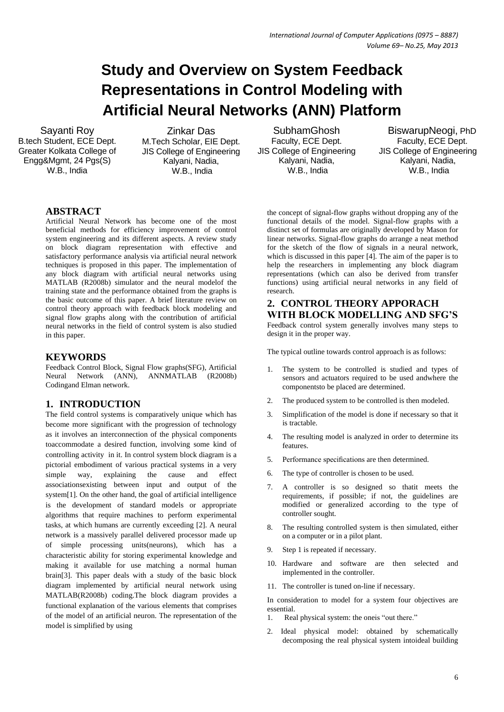# **Study and Overview on System Feedback Representations in Control Modeling with Artificial Neural Networks (ANN) Platform**

Sayanti Roy B.tech Student, ECE Dept. Greater Kolkata College of Engg&Mgmt, 24 Pgs(S) W.B., India

Zinkar Das M.Tech Scholar, EIE Dept. JIS College of Engineering Kalyani, Nadia, W.B., India

SubhamGhosh Faculty, ECE Dept. JIS College of Engineering Kalyani, Nadia, W.B., India

 BiswarupNeogi, PhD Faculty, ECE Dept. JIS College of Engineering Kalyani, Nadia, W.B., India

### **ABSTRACT**

Artificial Neural Network has become one of the most beneficial methods for efficiency improvement of control system engineering and its different aspects. A review study on block diagram representation with effective and satisfactory performance analysis via artificial neural network techniques is proposed in this paper. The implementation of any block diagram with artificial neural networks using MATLAB (R2008b) simulator and the neural modelof the training state and the performance obtained from the graphs is the basic outcome of this paper. A brief literature review on control theory approach with feedback block modeling and signal flow graphs along with the contribution of artificial neural networks in the field of control system is also studied in this paper.

#### **KEYWORDS**

Feedback Control Block, Signal Flow graphs(SFG), Artificial Neural Network (ANN), ANNMATLAB (R2008b) Codingand Elman network.

#### **1. INTRODUCTION**

The field control systems is comparatively unique which has become more significant with the progression of technology as it involves an interconnection of the physical components toaccommodate a desired function, involving some kind of controlling activity in it. In control system block diagram is a pictorial embodiment of various practical systems in a very simple way, explaining the cause and effect associationsexisting between input and output of the system[1]. On the other hand, the goal of artificial intelligence is the development of standard models or appropriate algorithms that require machines to perform experimental tasks, at which humans are currently exceeding [2]. A neural network is a massively parallel delivered processor made up of simple processing units(neurons), which has a characteristic ability for storing experimental knowledge and making it available for use matching a normal human brain[3]. This paper deals with a study of the basic block diagram implemented by artificial neural network using MATLAB(R2008b) coding.The block diagram provides a functional explanation of the various elements that comprises of the model of an artificial neuron. The representation of the model is simplified by using

the concept of signal-flow graphs without dropping any of the functional details of the model. Signal-flow graphs with a distinct set of formulas are originally developed by Mason for linear networks. Signal-flow graphs do arrange a neat method for the sketch of the flow of signals in a neural network, which is discussed in this paper [4]. The aim of the paper is to help the researchers in implementing any block diagram representations (which can also be derived from transfer functions) using artificial neural networks in any field of research.

# **2. CONTROL THEORY APPORACH WITH BLOCK MODELLING AND SFG'S**

Feedback control system generally involves many steps to design it in the proper way.

The typical outline towards control approach is as follows:

- 1. The system to be controlled is studied and types of sensors and actuators required to be used andwhere the componentsto be placed are determined.
- 2. The produced system to be controlled is then modeled.
- 3. Simplification of the model is done if necessary so that it is tractable.
- 4. The resulting model is analyzed in order to determine its features.
- 5. Performance specifications are then determined.
- 6. The type of controller is chosen to be used.
- 7. A controller is so designed so thatit meets the requirements, if possible; if not, the guidelines are modified or generalized according to the type of controller sought.
- 8. The resulting controlled system is then simulated, either on a computer or in a pilot plant.
- 9. Step 1 is repeated if necessary.
- 10. Hardware and software are then selected and implemented in the controller.
- 11. The controller is tuned on-line if necessary.

In consideration to model for a system four objectives are essential.

- 1. Real physical system: the oneis "out there."
- 2. Ideal physical model: obtained by schematically decomposing the real physical system intoideal building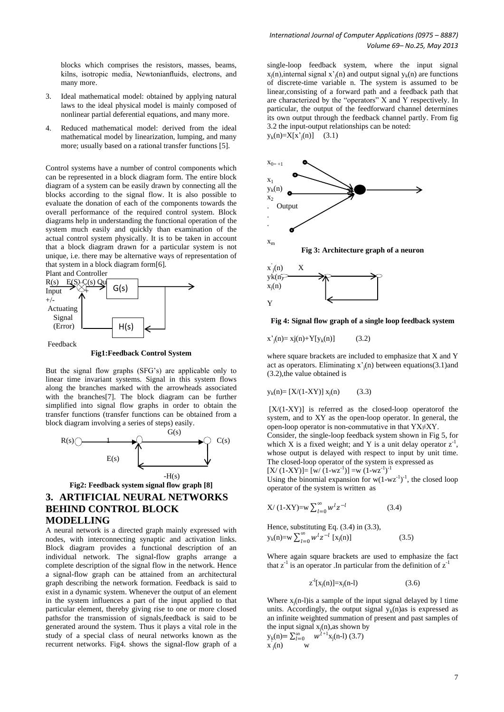- 3. Ideal mathematical model: obtained by applying natural laws to the ideal physical model is mainly composed of nonlinear partial deferential equations, and many more.
- Reduced mathematical model: derived from the ideal mathematical model by linearization, lumping, and many more; usually based on a rational transfer functions [5].

Control systems have a number of control components which can be represented in a block diagram form. The entire block diagram of a system can be easily drawn by connecting all the blocks according to the signal flow. It is also possible to evaluate the donation of each of the components towards the overall performance of the required control system. Block diagrams help in understanding the functional operation of the system much easily and quickly than examination of the actual control system physically. It is to be taken in account that a block diagram drawn for a particular system is not unique, i.e. there may be alternative ways of representation of that system in a block diagram form[6].



**Fig1:Feedback Control System**

But the signal flow graphs (SFG"s) are applicable only to linear time invariant systems. Signal in this system flows along the branches marked with the arrowheads associated with the branches[7]. The block diagram can be further simplified into signal flow graphs in order to obtain the transfer functions (transfer functions can be obtained from a block diagram involving a series of steps) easily.



# **Fig2: Feedback system signal flow graph [8] 3. ARTIFICIAL NEURAL NETWORKS BEHIND CONTROL BLOCK MODELLING**

A neural network is a directed graph mainly expressed with nodes, with interconnecting synaptic and activation links. Block diagram provides a functional description of an individual network. The signal-flow graphs arrange a complete description of the signal flow in the network. Hence a signal-flow graph can be attained from an architectural graph describing the network formation. Feedback is said to exist in a dynamic system. Whenever the output of an element in the system influences a part of the input applied to that particular element, thereby giving rise to one or more closed pathsfor the transmission of signals,feedback is said to be generated around the system. Thus it plays a vital role in the study of a special class of neural networks known as the recurrent networks. Fig4. shows the signal-flow graph of a

single-loop feedback system, where the input signal  $x_j(n)$ , internal signal  $x'_j(n)$  and output signal  $y_k(n)$  are functions of discrete-time variable n. The system is assumed to be linear,consisting of a forward path and a feedback path that are characterized by the "operators" X and Y respectively. In particular, the output of the feedforward channel determines its own output through the feedback channel partly. From fig 3.2 the input-output relationships can be noted:  $y_k(n)=X[x^2_j(n)]$  (3.1)



**Fig 4: Signal flow graph of a single loop feedback system**

$$
x^{'}_{j}(n) = xj(n) + Y[y_{k}(n)] \tag{3.2}
$$

Y

where square brackets are included to emphasize that X and Y act as operators. Eliminating  $x^2$ <sub>i</sub>(n) between equations(3.1)and (3.2),the value obtained is

$$
y_k(n) = [X/(1-XY)] x_j(n)
$$
 (3.3)

 $[X/(1-XY)]$  is referred as the closed-loop operator the system, and to XY as the open-loop operator. In general, the open-loop operator is non-commutative in that YX≠XY. Consider, the single-loop feedback system shown in Fig 5, for

which X is a fixed weight; and Y is a unit delay operator  $z<sup>-1</sup>$ , whose output is delayed with respect to input by unit time. The closed-loop operator of the system is expressed as  $[X/(1-XY)] = [w/(1-wz^{-1})] = w(1-wz^{-1})^{-1}$ 

Using the binomial expansion for  $w(1-wz^{-1})^{-1}$ , the closed loop operator of the system is written as

$$
X/(1-XY) = w \sum_{l=0}^{\infty} w^l z^{-l}
$$
 (3.4)

Hence, substituting Eq. (3.4) in (3.3),  $y_k(n) = w \sum_{l=0}^{\infty} w^l z^{-l} [x_j]$ 

Where again square brackets are used to emphasize the fact that  $z^{-1}$  is an operator. In particular from the definition of  $z^{-1}$ 

 $(3.5)$ 

$$
z^{-1}[x_i(n)] = x_i(n-1)
$$
 (3.6)

Where  $x_j(n-1)$  is a sample of the input signal delayed by 1 time units. Accordingly, the output signal  $y_k(n)$  as is expressed as an infinite weighted summation of present and past samples of the input signal  $x_j(n)$ , as shown by  $y_k(n) = \sum_{l=0}^{\infty} w^{l+1} x_j(n-l)$  (3.7)  $\mathbf{x}_j(n)$  w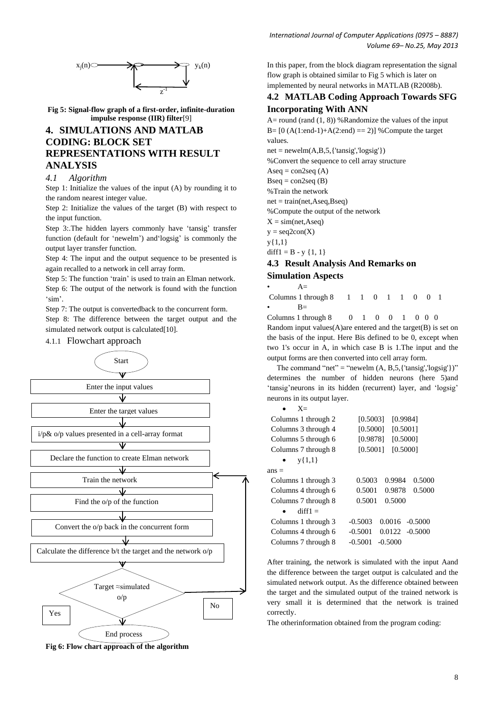



**Fig 5: Signal-flow graph of a first-order, infinite-duration impulse response (IIR) filter**[9]

# **4. SIMULATIONS AND MATLAB CODING: BLOCK SET REPRESENTATIONS WITH RESULT ANALYSIS**

#### *4.1 Algorithm*

Step 1: Initialize the values of the input (A) by rounding it to the random nearest integer value.

Step 2: Initialize the values of the target (B) with respect to the input function.

Step 3: The hidden layers commonly have 'tansig' transfer function (default for 'newelm') and 'logsig' is commonly the output layer transfer function.

Step 4: The input and the output sequence to be presented is again recalled to a network in cell array form.

Step 5: The function 'train' is used to train an Elman network.

Step 6: The output of the network is found with the function 'sim'.

Step 7: The output is convertedback to the concurrent form. Step 8: The difference between the target output and the simulated network output is calculated<sup>[10]</sup>.

4.1.1 Flowchart approach



**Fig 6: Flow chart approach of the algorithm**

In this paper, from the block diagram representation the signal flow graph is obtained similar to Fig 5 which is later on implemented by neural networks in MATLAB (R2008b).

## **4.2 MATLAB Coding Approach Towards SFG Incorporating With ANN**

A= round (rand  $(1, 8)$ ) %Randomize the values of the input B=  $[0 (A(1:end-1)+A(2:end) == 2)]$  % Compute the target values.

 $net = newelm(A, B, 5, {'tansig', 'logsig')})$ 

%Convert the sequence to cell array structure

Aseq =  $con2seq(A)$ 

 $Bseq = con2seq (B)$ 

%Train the network

 $net = train(net, Aseq, Bseq)$ 

%Compute the output of the network

 $X = sim(net, Aseq)$ 

 $y = seq2con(X)$ 

y{1,1}

diff $1 = B - y \{1, 1\}$ 

# **4.3 Result Analysis And Remarks on**

#### **Simulation Aspects**

 $A=$ Columns 1 through 8 1 1 0 1 1 0 0 1  $R-$ 

Columns 1 through 8 0 1 0 0 1 0 0 0 Random input values(A)are entered and the target(B) is set on the basis of the input. Here Bis defined to be 0, except when two 1's occur in A, in which case B is 1.The input and the output forms are then converted into cell array form.

The command "net" = "newelm  $(A, B, 5, {$ 'tansig','logsig'})" determines the number of hidden neurons (here 5)and 'tansig'neurons in its hidden (recurrent) layer, and 'logsig' neurons in its output layer.

| [0.9984]<br>[0.5003]           |
|--------------------------------|
| [0.5001]<br>[0.5000]           |
| [0.5000]<br>[0.9878]           |
| [0.5000]<br>[0.5001]           |
|                                |
|                                |
| 0.5003<br>0.9984<br>0.5000     |
| 0.5001<br>0.9878<br>0.5000     |
| 0.5001<br>0.5000               |
|                                |
| $-0.5003$<br>$0.0016 - 0.5000$ |
| $-0.5001$<br>$0.0122 - 0.5000$ |
| $-0.5001$<br>$-0.5000$         |
|                                |

After training, the network is simulated with the input Aand the difference between the target output is calculated and the simulated network output. As the difference obtained between the target and the simulated output of the trained network is very small it is determined that the network is trained correctly.

The otherinformation obtained from the program coding: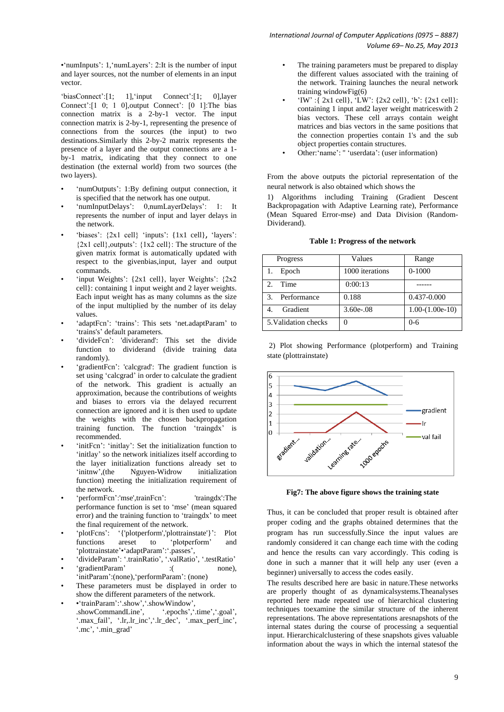•'numInputs': 1, 'numLayers': 2:It is the number of input and layer sources, not the number of elements in an input vector.

'biasConnect':[1; 1], 'input Connect':[1; 0], layer Connect':[1 0; 1 0],output Connect': [0 1]:The bias connection matrix is a 2-by-1 vector. The input connection matrix is 2-by-1, representing the presence of connections from the sources (the input) to two destinations.Similarly this 2-by-2 matrix represents the presence of a layer and the output connections are a 1 by-1 matrix, indicating that they connect to one destination (the external world) from two sources (the two layers).

- 'numOutputs': 1:By defining output connection, it is specified that the network has one output.
- 'numInputDelays': 0,numLayerDelays': 1: It represents the number of input and layer delays in the network.
- 'biases':  $\{2x1 \text{ cell}\}$  'inputs':  $\{1x1 \text{ cell}\}$ , 'layers':  ${2x1$  cell, outputs':  ${1x2$  cell): The structure of the given matrix format is automatically updated with respect to the givenbias,input, layer and output commands.
- 'input Weights':  $\{2x1 \text{ cell}\}$ , layer Weights':  $\{2x2$ cell}: containing 1 input weight and 2 layer weights. Each input weight has as many columns as the size of the input multiplied by the number of its delay values.
- 'adaptFcn': 'trains': This sets 'net.adaptParam' to 'trains's' default parameters.
- 'divideFcn': 'dividerand': This set the divide function to dividerand (divide training data randomly).
- 'gradientFcn': 'calcgrad': The gradient function is set using 'calcgrad' in order to calculate the gradient of the network. This gradient is actually an approximation, because the contributions of weights and biases to errors via the delayed recurrent connection are ignored and it is then used to update the weights with the chosen backpropagation training function. The function "traingdx" is recommended.
- 'initFcn': 'initlay': Set the initialization function to 'initlay' so the network initializes itself according to the layer initialization functions already set to "initnw",(the Nguyen-Widrow initialization function) meeting the initialization requirement of the network.
- 'performFcn':'mse',trainFcn': 'traingdx':The performance function is set to 'mse' (mean squared error) and the training function to 'traingdx' to meet the final requirement of the network.
- 'plotFcns': '{'plotperform','plottrainstate'}': Plot functions areset to "plotperform" and "plottrainstate"•"adaptParam":".passes",
- "divideParam": ".trainRatio", ".valRatio", ".testRatio" • "gradientParam" :( none),
- 'initParam':(none), 'performParam': (none)
- These parameters must be displayed in order to show the different parameters of the network.
- •"trainParam":".show",".showWindow", .showCommandLine', ".epochs', '.time', '.goal', '.max\_fail', '.lr,.lr\_inc', '.lr\_dec', '.max\_perf\_inc', '.mc', '.min\_grad'
- The training parameters must be prepared to display the different values associated with the training of the network. Training launches the neural network training windowFig(6)
- 'IW' :{  $2x1$  cell}, 'LW': { $2x2$  cell}, 'b': { $2x1$  cell}: containing 1 input and2 layer weight matriceswith 2 bias vectors. These cell arrays contain weight matrices and bias vectors in the same positions that the connection properties contain 1's and the sub object properties contain structures.
- Other: 'name': " 'userdata': (user information)

From the above outputs the pictorial representation of the neural network is also obtained which shows the

1) Algorithms including Training (Gradient Descent Backpropagation with Adaptive Learning rate), Performance (Mean Squared Error-mse) and Data Division (Random-Dividerand).

| <b>Table 1: Progress of the network</b> |
|-----------------------------------------|
|-----------------------------------------|

| Progress              | Values          | Range             |
|-----------------------|-----------------|-------------------|
| Epoch                 | 1000 iterations | $0 - 1000$        |
| Time<br>$\mathcal{L}$ | 0:00:13         |                   |
| Performance<br>3.     | 0.188           | 0.437-0.000       |
| Gradient              | $3.60e - 0.08$  | $1.00-(1.00e-10)$ |
| 5. Validation checks  |                 | $0 - 6$           |

2) Plot showing Performance (plotperform) and Training state (plottrainstate)



**Fig7: The above figure shows the training state**

Thus, it can be concluded that proper result is obtained after proper coding and the graphs obtained determines that the program has run successfully.Since the input values are randomly considered it can change each time with the coding and hence the results can vary accordingly. This coding is done in such a manner that it will help any user (even a beginner) universally to access the codes easily.

The results described here are basic in nature.These networks are properly thought of as dynamicalsystems.Theanalyses reported here made repeated use of hierarchical clustering techniques toexamine the similar structure of the inherent representations. The above representations aresnapshots of the internal states during the course of processing a sequential input. Hierarchicalclustering of these snapshots gives valuable information about the ways in which the internal statesof the